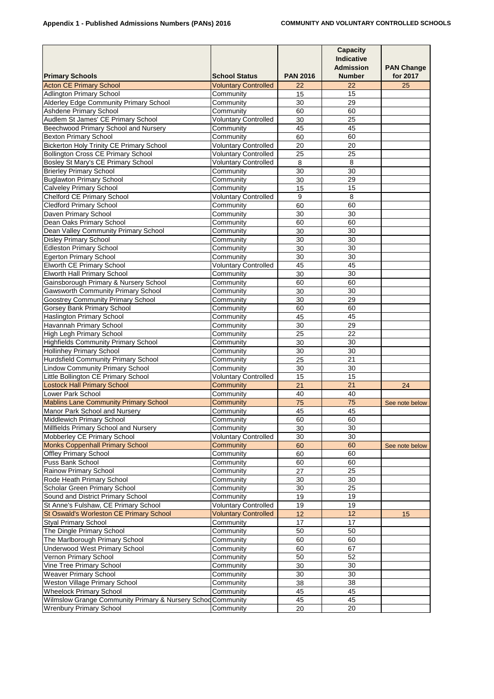|                                                                   |                             |                 | <b>Capacity</b><br><b>Indicative</b><br><b>Admission</b> | <b>PAN Change</b> |
|-------------------------------------------------------------------|-----------------------------|-----------------|----------------------------------------------------------|-------------------|
| <b>Primary Schools</b>                                            | <b>School Status</b>        | <b>PAN 2016</b> | <b>Number</b>                                            | for 2017          |
| <b>Acton CE Primary School</b>                                    | <b>Voluntary Controlled</b> | 22              | 22                                                       | 25                |
| <b>Adlington Primary School</b>                                   | Community                   | 15              | 15                                                       |                   |
| <b>Alderley Edge Community Primary School</b>                     | Community                   | 30              | 29                                                       |                   |
| <b>Ashdene Primary School</b>                                     | Community                   | 60              | 60                                                       |                   |
| Audlem St James' CE Primary School                                | <b>Voluntary Controlled</b> | 30              | 25                                                       |                   |
| Beechwood Primary School and Nursery                              | Community                   | 45              | 45                                                       |                   |
| <b>Bexton Primary School</b>                                      | Community                   | 60              | 60                                                       |                   |
| <b>Bickerton Holy Trinity CE Primary School</b>                   | <b>Voluntary Controlled</b> | 20              | 20                                                       |                   |
| <b>Bollington Cross CE Primary School</b>                         | <b>Voluntary Controlled</b> | 25              | 25                                                       |                   |
| Bosley St Mary's CE Primary School                                | <b>Voluntary Controlled</b> | 8               | 8                                                        |                   |
| <b>Brierley Primary School</b>                                    | Community                   | 30              | 30                                                       |                   |
| <b>Buglawton Primary School</b>                                   | Community                   | 30              | 29                                                       |                   |
| <b>Calveley Primary School</b>                                    | Community                   | 15              | 15                                                       |                   |
| <b>Chelford CE Primary School</b>                                 | <b>Voluntary Controlled</b> | 9               | 8                                                        |                   |
| <b>Cledford Primary School</b>                                    | Community                   | 60              | 60                                                       |                   |
| Daven Primary School                                              | Community                   | 30              | 30                                                       |                   |
| Dean Oaks Primary School                                          | Community                   | 60              | 60                                                       |                   |
| Dean Valley Community Primary School                              | Community                   | 30              | 30                                                       |                   |
| <b>Disley Primary School</b>                                      | Community                   | 30              | 30                                                       |                   |
| <b>Edleston Primary School</b>                                    | Community                   | 30              | 30                                                       |                   |
| <b>Egerton Primary School</b>                                     | Community                   | 30              | 30                                                       |                   |
| <b>Elworth CE Primary School</b>                                  | <b>Voluntary Controlled</b> | 45              | 45                                                       |                   |
| <b>Elworth Hall Primary School</b>                                | Community                   | 30              | 30                                                       |                   |
| Gainsborough Primary & Nursery School                             | Community                   | 60              | 60                                                       |                   |
| <b>Gawsworth Community Primary School</b>                         | Community                   | 30              | 30                                                       |                   |
| <b>Goostrey Community Primary School</b>                          | Community                   | 30              | 29                                                       |                   |
| <b>Gorsey Bank Primary School</b>                                 | Community                   | 60              | 60                                                       |                   |
| <b>Haslington Primary School</b>                                  | Community                   | 45<br>30        | 45<br>29                                                 |                   |
| <b>Havannah Primary School</b><br><b>High Legh Primary School</b> | Community<br>Community      | 25              | 22                                                       |                   |
| <b>Highfields Community Primary School</b>                        | Community                   | 30              | 30                                                       |                   |
| <b>Hollinhey Primary School</b>                                   | Community                   | 30              | 30                                                       |                   |
| <b>Hurdsfield Community Primary School</b>                        | Community                   | 25              | 21                                                       |                   |
| <b>Lindow Community Primary School</b>                            | Community                   | 30              | 30                                                       |                   |
| Little Bollington CE Primary School                               | <b>Voluntary Controlled</b> | 15              | 15                                                       |                   |
| <b>Lostock Hall Primary School</b>                                | Community                   | 21              | 21                                                       | 24                |
| <b>Lower Park School</b>                                          | Community                   | 40              | 40                                                       |                   |
| <b>Mablins Lane Community Primary School</b>                      | Community                   | 75              | 75                                                       | See note below    |
| Manor Park School and Nursery                                     | Community                   | 45              | 45                                                       |                   |
| <b>Middlewich Primary School</b>                                  | Community                   | 60              | 60                                                       |                   |
| Millfields Primary School and Nursery                             | Community                   | 30              | 30                                                       |                   |
| Mobberley CE Primary School                                       | <b>Voluntary Controlled</b> | 30              | 30                                                       |                   |
| <b>Monks Coppenhall Primary School</b>                            | Community                   | 60              | 60                                                       | See note below    |
| <b>Offley Primary School</b>                                      | Community                   | 60              | 60                                                       |                   |
| <b>Puss Bank School</b>                                           | Community                   | 60              | 60                                                       |                   |
| <b>Rainow Primary School</b>                                      | Community                   | 27              | 25                                                       |                   |
| Rode Heath Primary School                                         | Community                   | 30              | 30                                                       |                   |
| <b>Scholar Green Primary School</b>                               | Community                   | 30              | 25                                                       |                   |
| Sound and District Primary School                                 | Community                   | 19              | 19                                                       |                   |
| St Anne's Fulshaw, CE Primary School                              | <b>Voluntary Controlled</b> | 19              | 19                                                       |                   |
| St Oswald's Worleston CE Primary School                           | <b>Voluntary Controlled</b> | 12              | 12                                                       | 15                |
| <b>Styal Primary School</b>                                       | Community                   | 17              | 17                                                       |                   |
| The Dingle Primary School                                         | Community                   | 50              | 50                                                       |                   |
| The Marlborough Primary School                                    | Community                   | 60              | 60                                                       |                   |
| <b>Underwood West Primary School</b>                              | Community                   | 60              | 67                                                       |                   |
| Vernon Primary School                                             | Community                   | 50              | 52                                                       |                   |
| <b>Vine Tree Primary School</b>                                   | Community                   | 30              | 30                                                       |                   |
| <b>Weaver Primary School</b>                                      | Community                   | 30              | 30                                                       |                   |
| <b>Weston Village Primary School</b>                              | Community                   | 38              | 38                                                       |                   |
| <b>Wheelock Primary School</b>                                    | Community                   | 45              | 45                                                       |                   |
| Wilmslow Grange Community Primary & Nursery Schod Community       |                             | 45              | 45                                                       |                   |
| <b>Wrenbury Primary School</b>                                    | Community                   | 20              | 20                                                       |                   |